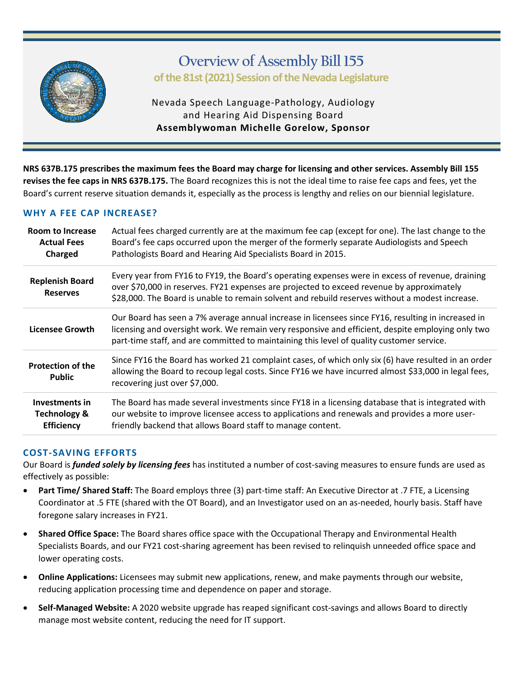

# **Overview of Assembly Bill 155 of the 81st (2021) Session of the Nevada Legislature**

Nevada Speech Language-Pathology, Audiology and Hearing Aid Dispensing Board **Assemblywoman Michelle Gorelow, Sponsor**

**NRS 637B.175 prescribes the maximum fees the Board may charge for licensing and other services. Assembly Bill 155 revises the fee caps in NRS 637B.175.** The Board recognizes this is not the ideal time to raise fee caps and fees, yet the Board's current reserve situation demands it, especially as the process is lengthy and relies on our biennial legislature.

## **WHY A FEE CAP INCREASE?**

| Room to Increase<br><b>Actual Fees</b><br>Charged                     | Actual fees charged currently are at the maximum fee cap (except for one). The last change to the<br>Board's fee caps occurred upon the merger of the formerly separate Audiologists and Speech<br>Pathologists Board and Hearing Aid Specialists Board in 2015.                                     |  |  |
|-----------------------------------------------------------------------|------------------------------------------------------------------------------------------------------------------------------------------------------------------------------------------------------------------------------------------------------------------------------------------------------|--|--|
| <b>Replenish Board</b><br><b>Reserves</b>                             | Every year from FY16 to FY19, the Board's operating expenses were in excess of revenue, draining<br>over \$70,000 in reserves. FY21 expenses are projected to exceed revenue by approximately<br>\$28,000. The Board is unable to remain solvent and rebuild reserves without a modest increase.     |  |  |
| Licensee Growth                                                       | Our Board has seen a 7% average annual increase in licensees since FY16, resulting in increased in<br>licensing and oversight work. We remain very responsive and efficient, despite employing only two<br>part-time staff, and are committed to maintaining this level of quality customer service. |  |  |
| <b>Protection of the</b><br><b>Public</b>                             | Since FY16 the Board has worked 21 complaint cases, of which only six (6) have resulted in an order<br>allowing the Board to recoup legal costs. Since FY16 we have incurred almost \$33,000 in legal fees,<br>recovering just over \$7,000.                                                         |  |  |
| <b>Investments in</b><br><b>Technology &amp;</b><br><b>Efficiency</b> | The Board has made several investments since FY18 in a licensing database that is integrated with<br>our website to improve licensee access to applications and renewals and provides a more user-<br>friendly backend that allows Board staff to manage content.                                    |  |  |

## **COST-SAVING EFFORTS**

Our Board is *funded solely by licensing fees* has instituted a number of cost-saving measures to ensure funds are used as effectively as possible:

- **Part Time/ Shared Staff:** The Board employs three (3) part-time staff: An Executive Director at .7 FTE, a Licensing Coordinator at .5 FTE (shared with the OT Board), and an Investigator used on an as-needed, hourly basis. Staff have foregone salary increases in FY21.
- **Shared Office Space:** The Board shares office space with the Occupational Therapy and Environmental Health Specialists Boards, and our FY21 cost-sharing agreement has been revised to relinquish unneeded office space and lower operating costs.
- **Online Applications:** Licensees may submit new applications, renew, and make payments through our website, reducing application processing time and dependence on paper and storage.
- **Self-Managed Website:** A 2020 website upgrade has reaped significant cost-savings and allows Board to directly manage most website content, reducing the need for IT support.